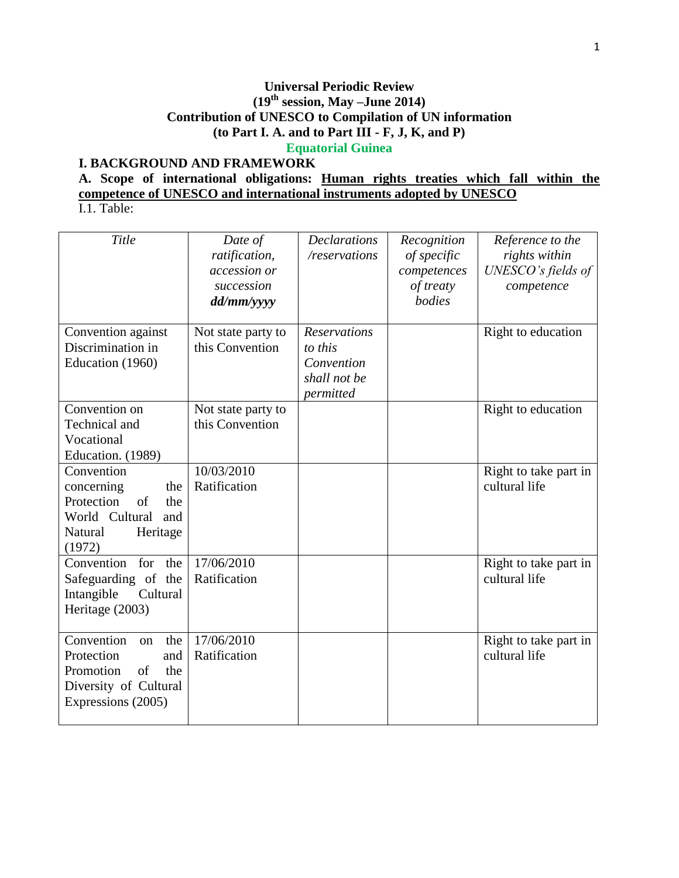# **Universal Periodic Review (19 th session, May –June 2014) Contribution of UNESCO to Compilation of UN information (to Part I. A. and to Part III - F, J, K, and P) Equatorial Guinea**

# **I. BACKGROUND AND FRAMEWORK**

# **A. Scope of international obligations: Human rights treaties which fall within the competence of UNESCO and international instruments adopted by UNESCO**

I.1. Table:

| Title                                                                                                                 | Date of<br>ratification,<br>accession or<br>succession<br>dd/mm/yyyy | <b>Declarations</b><br>/reservations                                      | Recognition<br>of specific<br>competences<br>of treaty<br>bodies | Reference to the<br>rights within<br>UNESCO's fields of<br>competence |
|-----------------------------------------------------------------------------------------------------------------------|----------------------------------------------------------------------|---------------------------------------------------------------------------|------------------------------------------------------------------|-----------------------------------------------------------------------|
| Convention against<br>Discrimination in<br>Education (1960)                                                           | Not state party to<br>this Convention                                | <b>Reservations</b><br>to this<br>Convention<br>shall not be<br>permitted |                                                                  | Right to education                                                    |
| Convention on<br>Technical and<br>Vocational<br>Education. (1989)                                                     | Not state party to<br>this Convention                                |                                                                           |                                                                  | Right to education                                                    |
| Convention<br>concerning<br>the<br>Protection<br>of<br>the<br>World Cultural<br>and<br>Heritage<br>Natural<br>(1972)  | 10/03/2010<br>Ratification                                           |                                                                           |                                                                  | Right to take part in<br>cultural life                                |
| Convention<br>for<br>the<br>Safeguarding of the<br>Intangible<br>Cultural<br>Heritage (2003)                          | 17/06/2010<br>Ratification                                           |                                                                           |                                                                  | Right to take part in<br>cultural life                                |
| Convention<br>the<br>on<br>Protection<br>and<br>Promotion<br>of<br>the<br>Diversity of Cultural<br>Expressions (2005) | 17/06/2010<br>Ratification                                           |                                                                           |                                                                  | Right to take part in<br>cultural life                                |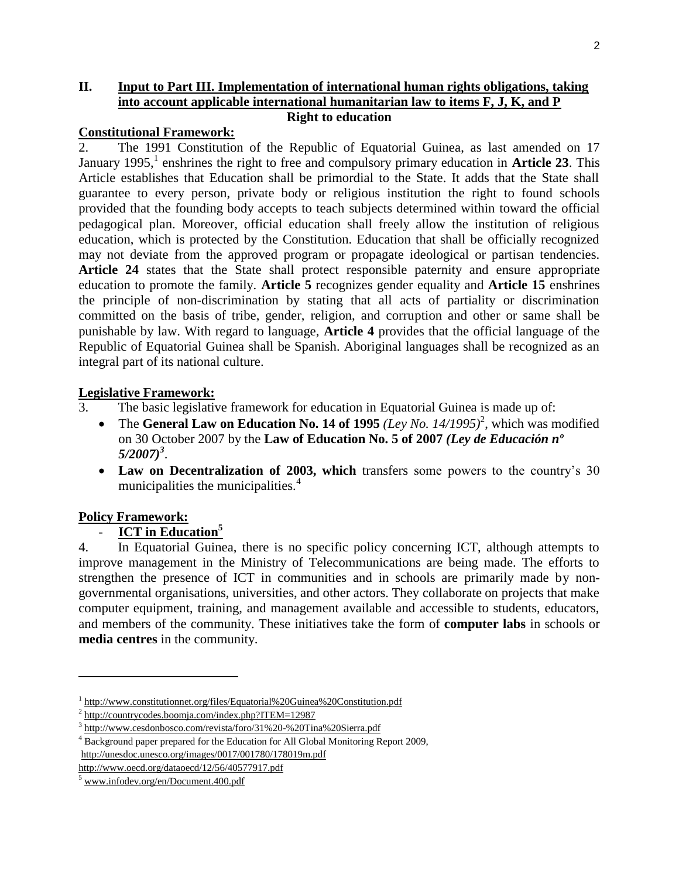### **II. Input to Part III. Implementation of international human rights obligations, taking into account applicable international humanitarian law to items F, J, K, and P Right to education**

### **Constitutional Framework:**

2. The 1991 Constitution of the Republic of Equatorial Guinea, as last amended on 17 January 1995,<sup>1</sup> enshrines the right to free and compulsory primary education in **Article 23**. This Article establishes that Education shall be primordial to the State. It adds that the State shall guarantee to every person, private body or religious institution the right to found schools provided that the founding body accepts to teach subjects determined within toward the official pedagogical plan. Moreover, official education shall freely allow the institution of religious education, which is protected by the Constitution. Education that shall be officially recognized may not deviate from the approved program or propagate ideological or partisan tendencies. Article 24 states that the State shall protect responsible paternity and ensure appropriate education to promote the family. **Article 5** recognizes gender equality and **Article 15** enshrines the principle of non-discrimination by stating that all acts of partiality or discrimination committed on the basis of tribe, gender, religion, and corruption and other or same shall be punishable by law. With regard to language, **Article 4** provides that the official language of the Republic of Equatorial Guinea shall be Spanish. Aboriginal languages shall be recognized as an integral part of its national culture.

# **Legislative Framework:**

- 3. The basic legislative framework for education in Equatorial Guinea is made up of:
	- The **General Law on Education No. 14 of 1995** *(Ley No. 14/1995)*<sup>2</sup>, which was modified on 30 October 2007 by the **Law of Education No. 5 of 2007** *(Ley de Educación nº 5/2007)<sup>3</sup>* .
	- Law on Decentralization of 2003, which transfers some powers to the country's 30 municipalities the municipalities.<sup>4</sup>

# **Policy Framework:**

 $\overline{\phantom{a}}$ 

# - **ICT in Education<sup>5</sup>**

4. In Equatorial Guinea, there is no specific policy concerning ICT, although attempts to improve management in the Ministry of Telecommunications are being made. The efforts to strengthen the presence of ICT in communities and in schools are primarily made by nongovernmental organisations, universities, and other actors. They collaborate on projects that make computer equipment, training, and management available and accessible to students, educators, and members of the community. These initiatives take the form of **computer labs** in schools or **media centres** in the community.

<sup>&</sup>lt;sup>1</sup> <http://www.constitutionnet.org/files/Equatorial%20Guinea%20Constitution.pdf>

<sup>&</sup>lt;sup>2</sup> <http://countrycodes.boomja.com/index.php?ITEM=12987>

<sup>&</sup>lt;sup>3</sup> <http://www.cesdonbosco.com/revista/foro/31%20-%20Tina%20Sierra.pdf>

<sup>4</sup> Background paper prepared for the Education for All Global Monitoring Report 2009, <http://unesdoc.unesco.org/images/0017/001780/178019m.pdf>

<http://www.oecd.org/dataoecd/12/56/40577917.pdf>

<sup>5</sup> [www.infodev.org/en/Document.400.pdf](http://www.infodev.org/en/Document.400.pdf)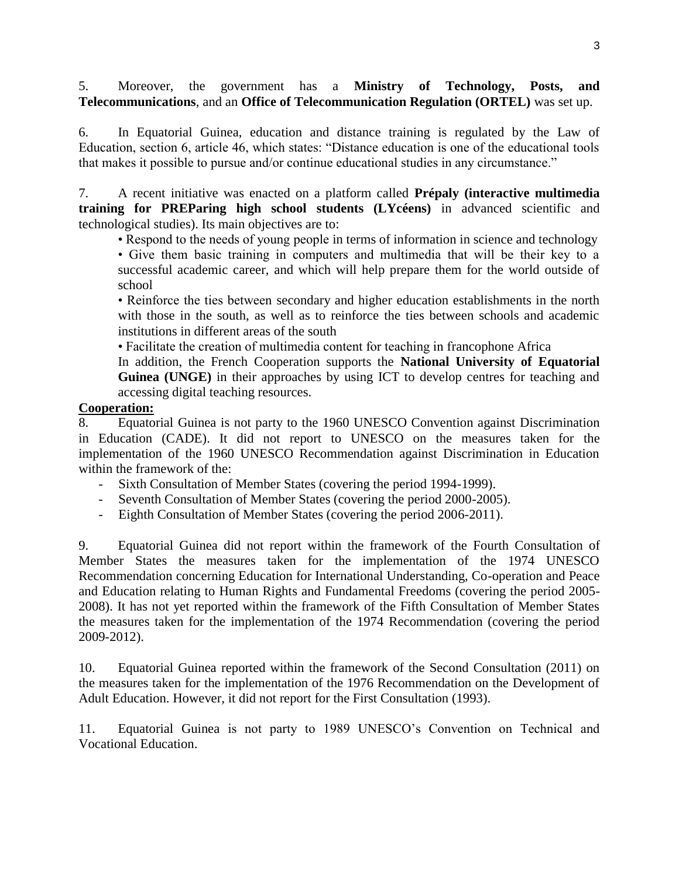5. Moreover, the government has a **Ministry of Technology, Posts, and Telecommunications**, and an **Office of Telecommunication Regulation (ORTEL)** was set up.

6. In Equatorial Guinea, education and distance training is regulated by the Law of Education, section 6, article 46, which states: "Distance education is one of the educational tools that makes it possible to pursue and/or continue educational studies in any circumstance."

7. A recent initiative was enacted on a platform called **Prépaly (interactive multimedia training for PREParing high school students (LYcéens)** in advanced scientific and technological studies). Its main objectives are to:

• Respond to the needs of young people in terms of information in science and technology

• Give them basic training in computers and multimedia that will be their key to a successful academic career, and which will help prepare them for the world outside of school

• Reinforce the ties between secondary and higher education establishments in the north with those in the south, as well as to reinforce the ties between schools and academic institutions in different areas of the south

• Facilitate the creation of multimedia content for teaching in francophone Africa

In addition, the French Cooperation supports the **National University of Equatorial Guinea (UNGE)** in their approaches by using ICT to develop centres for teaching and accessing digital teaching resources.

### **Cooperation:**

8. Equatorial Guinea is not party to the 1960 UNESCO Convention against Discrimination in Education (CADE). It did not report to UNESCO on the measures taken for the implementation of the 1960 UNESCO Recommendation against Discrimination in Education within the framework of the:

- Sixth Consultation of Member States (covering the period 1994-1999).
- Seventh Consultation of Member States (covering the period 2000-2005).
- Eighth Consultation of Member States (covering the period 2006-2011).

9. Equatorial Guinea did not report within the framework of the Fourth Consultation of Member States the measures taken for the implementation of the 1974 UNESCO Recommendation concerning Education for International Understanding, Co-operation and Peace and Education relating to Human Rights and Fundamental Freedoms (covering the period 2005- 2008). It has not yet reported within the framework of the Fifth Consultation of Member States the measures taken for the implementation of the 1974 Recommendation (covering the period 2009-2012).

10. Equatorial Guinea reported within the framework of the Second Consultation (2011) on the measures taken for the implementation of the 1976 Recommendation on the Development of Adult Education. However, it did not report for the First Consultation (1993).

11. Equatorial Guinea is not party to 1989 UNESCO's Convention on Technical and Vocational Education.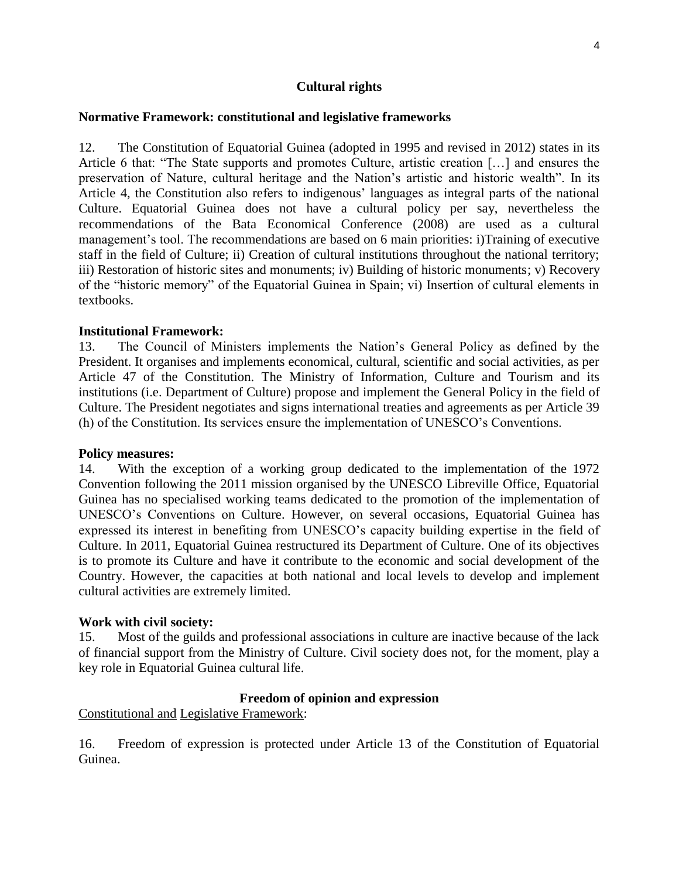### **Cultural rights**

### **Normative Framework: constitutional and legislative frameworks**

12. The Constitution of Equatorial Guinea (adopted in 1995 and revised in 2012) states in its Article 6 that: "The State supports and promotes Culture, artistic creation […] and ensures the preservation of Nature, cultural heritage and the Nation's artistic and historic wealth". In its Article 4, the Constitution also refers to indigenous' languages as integral parts of the national Culture. Equatorial Guinea does not have a cultural policy per say, nevertheless the recommendations of the Bata Economical Conference (2008) are used as a cultural management's tool. The recommendations are based on 6 main priorities: i)Training of executive staff in the field of Culture; ii) Creation of cultural institutions throughout the national territory; iii) Restoration of historic sites and monuments; iv) Building of historic monuments; v) Recovery of the "historic memory" of the Equatorial Guinea in Spain; vi) Insertion of cultural elements in textbooks.

#### **Institutional Framework:**

13. The Council of Ministers implements the Nation's General Policy as defined by the President. It organises and implements economical, cultural, scientific and social activities, as per Article 47 of the Constitution. The Ministry of Information, Culture and Tourism and its institutions (i.e. Department of Culture) propose and implement the General Policy in the field of Culture. The President negotiates and signs international treaties and agreements as per Article 39 (h) of the Constitution. Its services ensure the implementation of UNESCO's Conventions.

#### **Policy measures:**

14. With the exception of a working group dedicated to the implementation of the 1972 Convention following the 2011 mission organised by the UNESCO Libreville Office, Equatorial Guinea has no specialised working teams dedicated to the promotion of the implementation of UNESCO's Conventions on Culture. However, on several occasions, Equatorial Guinea has expressed its interest in benefiting from UNESCO's capacity building expertise in the field of Culture. In 2011, Equatorial Guinea restructured its Department of Culture. One of its objectives is to promote its Culture and have it contribute to the economic and social development of the Country. However, the capacities at both national and local levels to develop and implement cultural activities are extremely limited.

### **Work with civil society:**

15. Most of the guilds and professional associations in culture are inactive because of the lack of financial support from the Ministry of Culture. Civil society does not, for the moment, play a key role in Equatorial Guinea cultural life.

### **Freedom of opinion and expression**

Constitutional and Legislative Framework:

16. Freedom of expression is protected under Article 13 of the Constitution of Equatorial Guinea.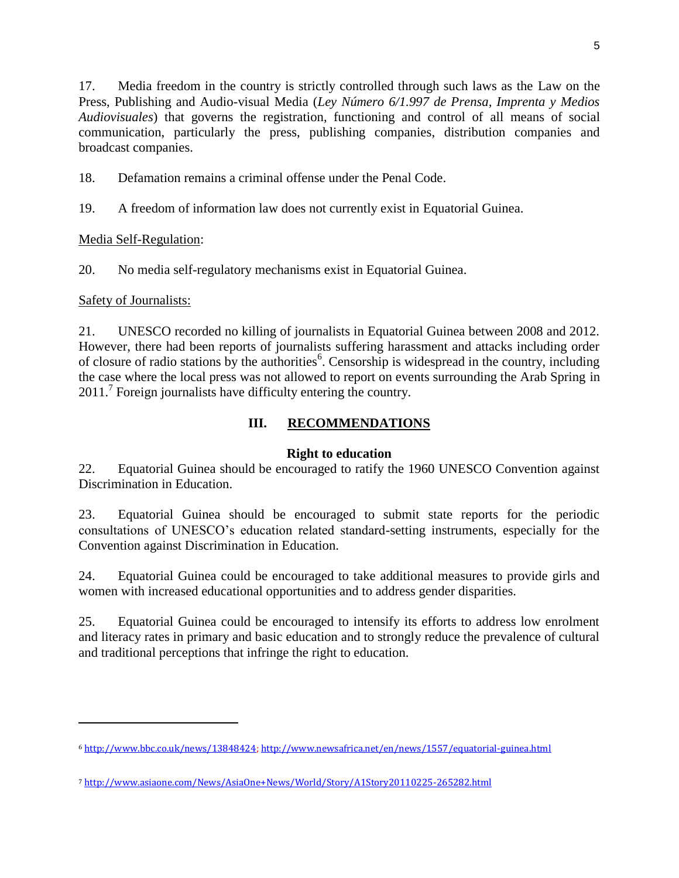17. Media freedom in the country is strictly controlled through such laws as the Law on the Press, Publishing and Audio-visual Media (*Ley Número 6/1.997 de Prensa, Imprenta y Medios Audiovisuales*) that governs the registration, functioning and control of all means of social communication, particularly the press, publishing companies, distribution companies and broadcast companies.

18. Defamation remains a criminal offense under the Penal Code.

19. A freedom of information law does not currently exist in Equatorial Guinea.

Media Self-Regulation:

20. No media self-regulatory mechanisms exist in Equatorial Guinea.

# Safety of Journalists:

 $\overline{\phantom{a}}$ 

21. UNESCO recorded no killing of journalists in Equatorial Guinea between 2008 and 2012. However, there had been reports of journalists suffering harassment and attacks including order of closure of radio stations by the authorities<sup>6</sup>. Censorship is widespread in the country, including the case where the local press was not allowed to report on events surrounding the Arab Spring in 2011.<sup>7</sup> Foreign journalists have difficulty entering the country.

# **III. RECOMMENDATIONS**

# **Right to education**

22. Equatorial Guinea should be encouraged to ratify the 1960 UNESCO Convention against Discrimination in Education.

23. Equatorial Guinea should be encouraged to submit state reports for the periodic consultations of UNESCO's education related standard-setting instruments, especially for the Convention against Discrimination in Education.

24. Equatorial Guinea could be encouraged to take additional measures to provide girls and women with increased educational opportunities and to address gender disparities.

25. Equatorial Guinea could be encouraged to intensify its efforts to address low enrolment and literacy rates in primary and basic education and to strongly reduce the prevalence of cultural and traditional perceptions that infringe the right to education.

<sup>6</sup> [http://www.bbc.co.uk/news/13848424;](http://www.bbc.co.uk/news/13848424)<http://www.newsafrica.net/en/news/1557/equatorial-guinea.html>

<sup>7</sup> <http://www.asiaone.com/News/AsiaOne+News/World/Story/A1Story20110225-265282.html>